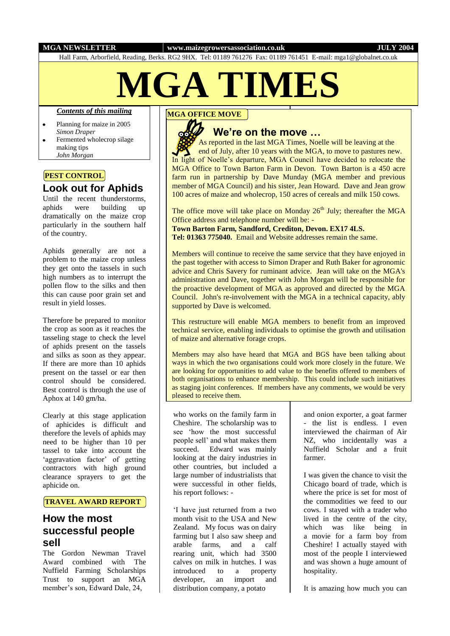#### **MGA NEWSLETTER www.maizegrowersassociation.co.uk JULY 2004**

Hall Farm, Arborfield, Reading, Berks. RG2 9HX. Tel: 01189 761276 Fax: 01189 761451 E-mail: mga1@globalnet.co.uk

# **MGA TIMES**

### *Contents of this mailing*

- Planning for maize in 2005 *Simon Draper*
- Fermented wholecrop silage making tips *John Morgan*

# **PEST CONTROL**

# **Look out for Aphids**

Until the recent thunderstorms, aphids were building up dramatically on the maize crop particularly in the southern half of the country.

Aphids generally are not a problem to the maize crop unless they get onto the tassels in such high numbers as to interrupt the pollen flow to the silks and then this can cause poor grain set and result in yield losses.

Therefore be prepared to monitor the crop as soon as it reaches the tasseling stage to check the level of aphids present on the tassels and silks as soon as they appear. If there are more than 10 aphids present on the tassel or ear then control should be considered. Best control is through the use of Aphox at 140 gm/ha.

Clearly at this stage application of aphicides is difficult and therefore the levels of aphids may need to be higher than 10 per tassel to take into account the 'aggravation factor' of getting contractors with high ground clearance sprayers to get the aphicide on.

## **TRAVEL AWARD REPORT**

# **How the most successful people sell**

The Gordon Newman Travel Award combined with The Nuffield Farming Scholarships Trust to support an MGA member's son, Edward Dale, 24,

### **MGA OFFICE MOVE**



# **We're on the move …**

 As reported in the last MGA Times, Noelle will be leaving at the end of July, after 10 years with the MGA, to move to pastures new. In light of Noelle's departure, MGA Council have decided to relocate the MGA Office to Town Barton Farm in Devon. Town Barton is a 450 acre farm run in partnership by Dave Munday (MGA member and previous member of MGA Council) and his sister, Jean Howard. Dave and Jean grow 100 acres of maize and wholecrop, 150 acres of cereals and milk 150 cows.

The office move will take place on Monday  $26<sup>th</sup>$  July; thereafter the MGA Office address and telephone number will be: -

**Town Barton Farm, Sandford, Crediton, Devon. EX17 4LS.** 

**Tel: 01363 775040.** Email and Website addresses remain the same.

Members will continue to receive the same service that they have enjoyed in the past together with access to Simon Draper and Ruth Baker for agronomic advice and Chris Savery for ruminant advice. Jean will take on the MGA's administration and Dave, together with John Morgan will be responsible for the proactive development of MGA as approved and directed by the MGA Council. John's re-involvement with the MGA in a technical capacity, ably supported by Dave is welcomed.

This restructure will enable MGA members to benefit from an improved technical service, enabling individuals to optimise the growth and utilisation of maize and alternative forage crops.

Members may also have heard that MGA and BGS have been talking about ways in which the two organisations could work more closely in the future. We are looking for opportunities to add value to the benefits offered to members of both organisations to enhance membership. This could include such initiatives as staging joint conferences. If members have any comments, we would be very pleased to receive them.

who works on the family farm in Cheshire. The scholarship was to see 'how the most successful people sell' and what makes them succeed. Edward was mainly looking at the dairy industries in other countries, but included a large number of industrialists that were successful in other fields, his report follows: -

'I have just returned from a two month visit to the USA and New Zealand. My focus was on dairy farming but I also saw sheep and arable farms, and a calf rearing unit, which had 3500 calves on milk in hutches. I was introduced to a property developer, an import and distribution company, a potato

and onion exporter, a goat farmer - the list is endless. I even interviewed the chairman of Air NZ, who incidentally was a Nuffield Scholar and a fruit farmer.

I was given the chance to visit the Chicago board of trade, which is where the price is set for most of the commodities we feed to our cows. I stayed with a trader who lived in the centre of the city, which was like being in a movie for a farm boy from Cheshire! I actually stayed with most of the people I interviewed and was shown a huge amount of hospitality.

It is amazing how much you can